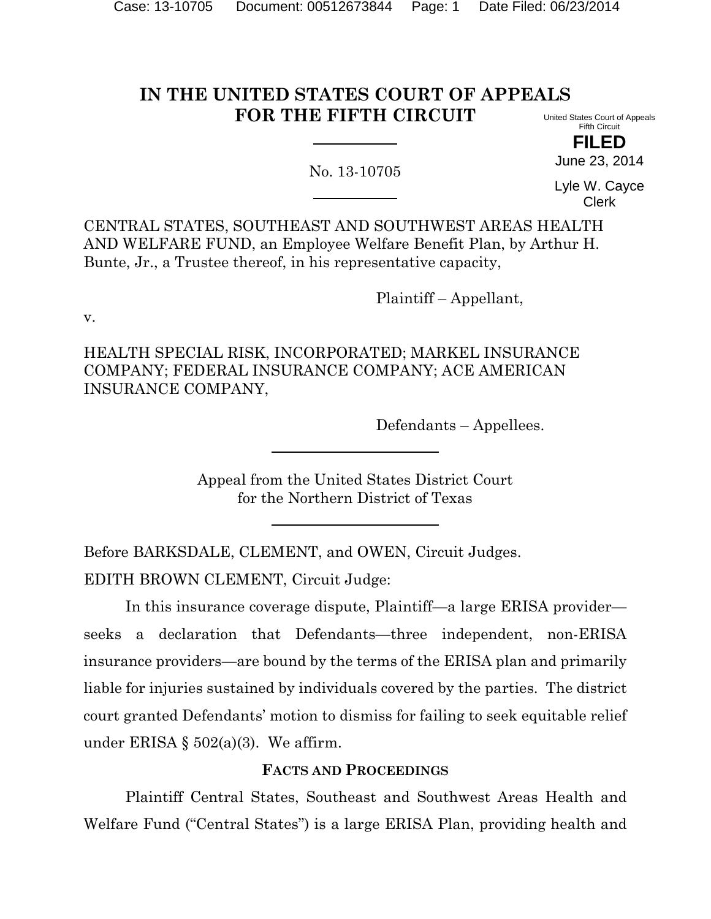# **IN THE UNITED STATES COURT OF APPEALS FOR THE FIFTH CIRCUIT**

No. 13-10705

United States Court of Appeals Fifth Circuit

**FILED** June 23, 2014

Lyle W. Cayce Clerk

CENTRAL STATES, SOUTHEAST AND SOUTHWEST AREAS HEALTH AND WELFARE FUND, an Employee Welfare Benefit Plan, by Arthur H. Bunte, Jr., a Trustee thereof, in his representative capacity,

Plaintiff – Appellant,

v.

HEALTH SPECIAL RISK, INCORPORATED; MARKEL INSURANCE COMPANY; FEDERAL INSURANCE COMPANY; ACE AMERICAN INSURANCE COMPANY,

Defendants – Appellees.

Appeal from the United States District Court for the Northern District of Texas

Before BARKSDALE, CLEMENT, and OWEN, Circuit Judges.

EDITH BROWN CLEMENT, Circuit Judge:

In this insurance coverage dispute, Plaintiff—a large ERISA provider seeks a declaration that Defendants—three independent, non-ERISA insurance providers—are bound by the terms of the ERISA plan and primarily liable for injuries sustained by individuals covered by the parties. The district court granted Defendants' motion to dismiss for failing to seek equitable relief under ERISA  $\S$  502(a)(3). We affirm.

## **FACTS AND PROCEEDINGS**

Plaintiff Central States, Southeast and Southwest Areas Health and Welfare Fund ("Central States") is a large ERISA Plan, providing health and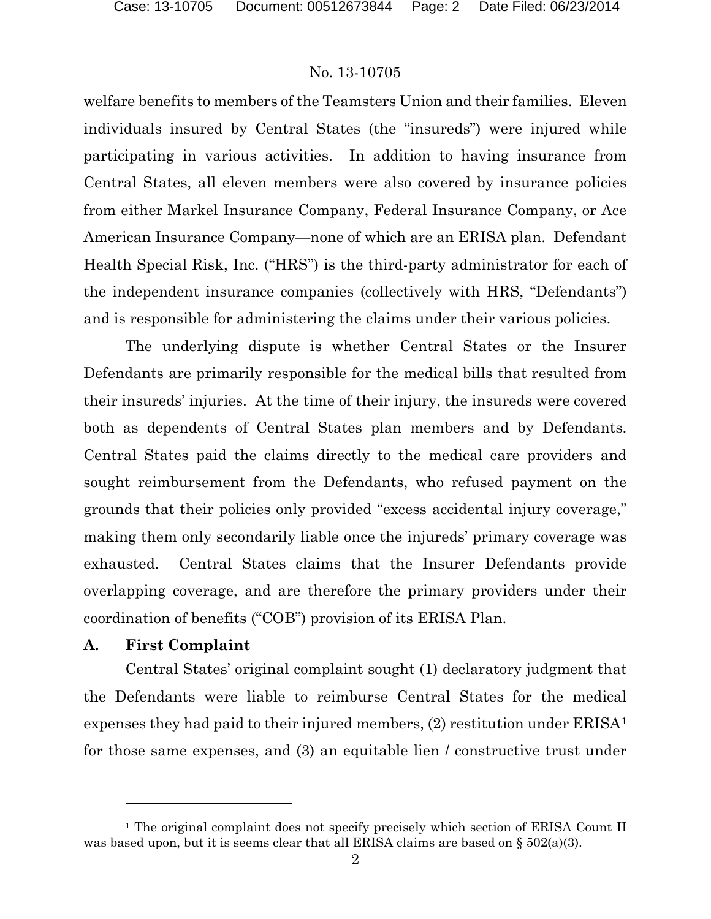welfare benefits to members of the Teamsters Union and their families. Eleven individuals insured by Central States (the "insureds") were injured while participating in various activities. In addition to having insurance from Central States, all eleven members were also covered by insurance policies from either Markel Insurance Company, Federal Insurance Company, or Ace American Insurance Company—none of which are an ERISA plan. Defendant Health Special Risk, Inc. ("HRS") is the third-party administrator for each of the independent insurance companies (collectively with HRS, "Defendants") and is responsible for administering the claims under their various policies.

The underlying dispute is whether Central States or the Insurer Defendants are primarily responsible for the medical bills that resulted from their insureds' injuries. At the time of their injury, the insureds were covered both as dependents of Central States plan members and by Defendants. Central States paid the claims directly to the medical care providers and sought reimbursement from the Defendants, who refused payment on the grounds that their policies only provided "excess accidental injury coverage," making them only secondarily liable once the injureds' primary coverage was exhausted. Central States claims that the Insurer Defendants provide overlapping coverage, and are therefore the primary providers under their coordination of benefits ("COB") provision of its ERISA Plan.

### **A. First Complaint**

l

Central States' original complaint sought (1) declaratory judgment that the Defendants were liable to reimburse Central States for the medical expenses they had paid to their injured members, (2) restitution under ERISA[1](#page-1-0) for those same expenses, and (3) an equitable lien / constructive trust under

<span id="page-1-0"></span><sup>&</sup>lt;sup>1</sup> The original complaint does not specify precisely which section of ERISA Count II was based upon, but it is seems clear that all ERISA claims are based on  $\S 502(a)(3)$ .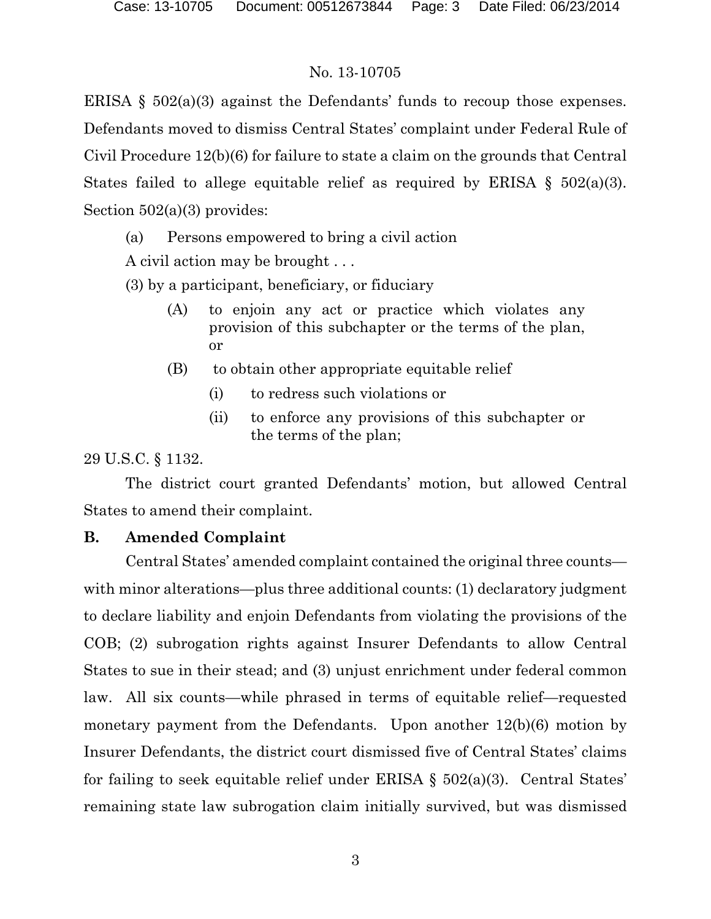ERISA  $\S$  502(a)(3) against the Defendants' funds to recoup those expenses. Defendants moved to dismiss Central States' complaint under Federal Rule of Civil Procedure 12(b)(6) for failure to state a claim on the grounds that Central States failed to allege equitable relief as required by ERISA  $\S$  502(a)(3). Section 502(a)(3) provides:

(a) Persons empowered to bring a civil action

A civil action may be brought . . .

(3) by a participant, beneficiary, or fiduciary

- (A) to enjoin any act or practice which violates any provision of this subchapter or the terms of the plan, or
- (B) to obtain other appropriate equitable relief
	- (i) to redress such violations or
	- (ii) to enforce any provisions of this subchapter or the terms of the plan;

29 U.S.C. § 1132.

The district court granted Defendants' motion, but allowed Central States to amend their complaint.

## **B. Amended Complaint**

Central States' amended complaint contained the original three counts with minor alterations—plus three additional counts: (1) declaratory judgment to declare liability and enjoin Defendants from violating the provisions of the COB; (2) subrogation rights against Insurer Defendants to allow Central States to sue in their stead; and (3) unjust enrichment under federal common law. All six counts—while phrased in terms of equitable relief—requested monetary payment from the Defendants. Upon another 12(b)(6) motion by Insurer Defendants, the district court dismissed five of Central States' claims for failing to seek equitable relief under ERISA  $\S$  502(a)(3). Central States' remaining state law subrogation claim initially survived, but was dismissed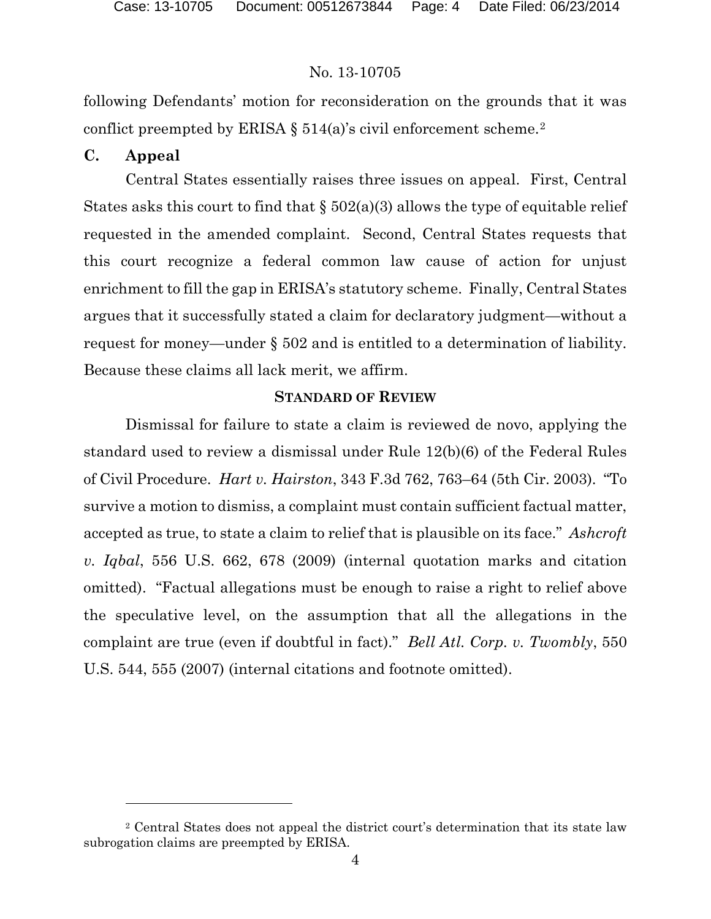following Defendants' motion for reconsideration on the grounds that it was conflict preempted by ERISA  $\S 514(a)$ 's civil enforcement scheme.<sup>[2](#page-3-0)</sup>

## **C. Appeal**

l

Central States essentially raises three issues on appeal. First, Central States asks this court to find that  $\S 502(a)(3)$  allows the type of equitable relief requested in the amended complaint. Second, Central States requests that this court recognize a federal common law cause of action for unjust enrichment to fill the gap in ERISA's statutory scheme. Finally, Central States argues that it successfully stated a claim for declaratory judgment—without a request for money—under § 502 and is entitled to a determination of liability. Because these claims all lack merit, we affirm.

## **STANDARD OF REVIEW**

Dismissal for failure to state a claim is reviewed de novo, applying the standard used to review a dismissal under Rule 12(b)(6) of the Federal Rules of Civil Procedure. *Hart v. Hairston*, 343 F.3d 762, 763–64 (5th Cir. 2003). "To survive a motion to dismiss, a complaint must contain sufficient factual matter, accepted as true, to state a claim to relief that is plausible on its face." *Ashcroft v. Iqbal*, 556 U.S. 662, 678 (2009) (internal quotation marks and citation omitted). "Factual allegations must be enough to raise a right to relief above the speculative level, on the assumption that all the allegations in the complaint are true (even if doubtful in fact)." *Bell Atl. Corp. v. Twombly*, 550 U.S. 544, 555 (2007) (internal citations and footnote omitted).

<span id="page-3-0"></span><sup>2</sup> Central States does not appeal the district court's determination that its state law subrogation claims are preempted by ERISA.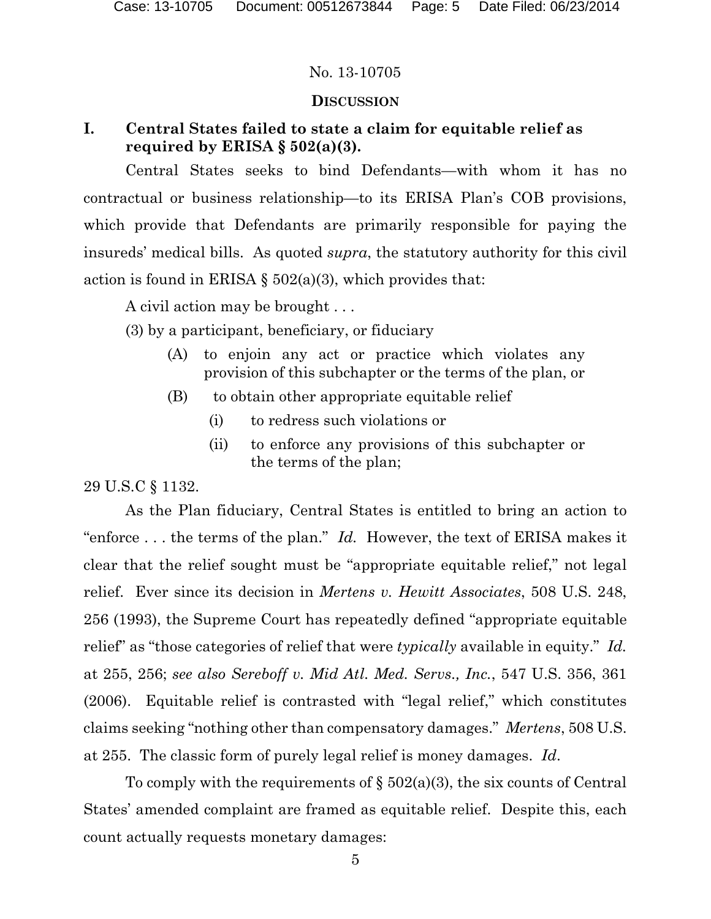## **DISCUSSION**

## **I. Central States failed to state a claim for equitable relief as required by ERISA § 502(a)(3).**

Central States seeks to bind Defendants—with whom it has no contractual or business relationship—to its ERISA Plan's COB provisions, which provide that Defendants are primarily responsible for paying the insureds' medical bills. As quoted *supra*, the statutory authority for this civil action is found in ERISA  $\S 502(a)(3)$ , which provides that:

A civil action may be brought . . .

(3) by a participant, beneficiary, or fiduciary

- (A) to enjoin any act or practice which violates any provision of this subchapter or the terms of the plan, or
- (B) to obtain other appropriate equitable relief
	- (i) to redress such violations or
	- (ii) to enforce any provisions of this subchapter or the terms of the plan;

29 U.S.C § 1132.

As the Plan fiduciary, Central States is entitled to bring an action to "enforce . . . the terms of the plan." *Id.* However, the text of ERISA makes it clear that the relief sought must be "appropriate equitable relief," not legal relief. Ever since its decision in *Mertens v. Hewitt Associates*, 508 U.S. 248, 256 (1993), the Supreme Court has repeatedly defined "appropriate equitable relief" as "those categories of relief that were *typically* available in equity." *Id.* at 255, 256; *see also Sereboff v. Mid Atl. Med. Servs., Inc.*, 547 U.S. 356, 361 (2006). Equitable relief is contrasted with "legal relief," which constitutes claims seeking "nothing other than compensatory damages." *Mertens*, 508 U.S. at 255. The classic form of purely legal relief is money damages. *Id*.

To comply with the requirements of  $\S 502(a)(3)$ , the six counts of Central States' amended complaint are framed as equitable relief. Despite this, each count actually requests monetary damages: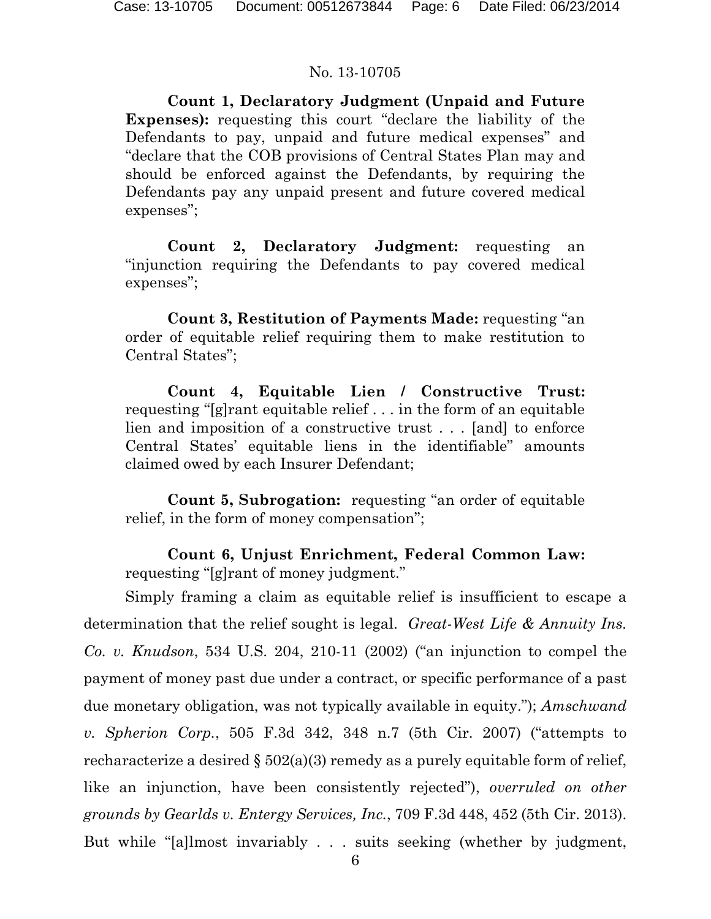**Count 1, Declaratory Judgment (Unpaid and Future Expenses):** requesting this court "declare the liability of the Defendants to pay, unpaid and future medical expenses" and "declare that the COB provisions of Central States Plan may and should be enforced against the Defendants, by requiring the Defendants pay any unpaid present and future covered medical expenses";

**Count 2, Declaratory Judgment:** requesting an "injunction requiring the Defendants to pay covered medical expenses";

**Count 3, Restitution of Payments Made:** requesting "an order of equitable relief requiring them to make restitution to Central States";

**Count 4, Equitable Lien / Constructive Trust:**  requesting "[g]rant equitable relief . . . in the form of an equitable lien and imposition of a constructive trust . . . [and] to enforce Central States' equitable liens in the identifiable" amounts claimed owed by each Insurer Defendant;

**Count 5, Subrogation:** requesting "an order of equitable relief, in the form of money compensation";

**Count 6, Unjust Enrichment, Federal Common Law:** requesting "[g]rant of money judgment."

Simply framing a claim as equitable relief is insufficient to escape a determination that the relief sought is legal. *Great-West Life & Annuity Ins. Co. v. Knudson*, 534 U.S. 204, 210-11 (2002) ("an injunction to compel the payment of money past due under a contract, or specific performance of a past due monetary obligation, was not typically available in equity."); *Amschwand v. Spherion Corp.*, 505 F.3d 342, 348 n.7 (5th Cir. 2007) ("attempts to recharacterize a desired  $\S 502(a)(3)$  remedy as a purely equitable form of relief, like an injunction, have been consistently rejected"), *overruled on other grounds by Gearlds v. Entergy Services, Inc.*, 709 F.3d 448, 452 (5th Cir. 2013). But while "[a]lmost invariably . . . suits seeking (whether by judgment,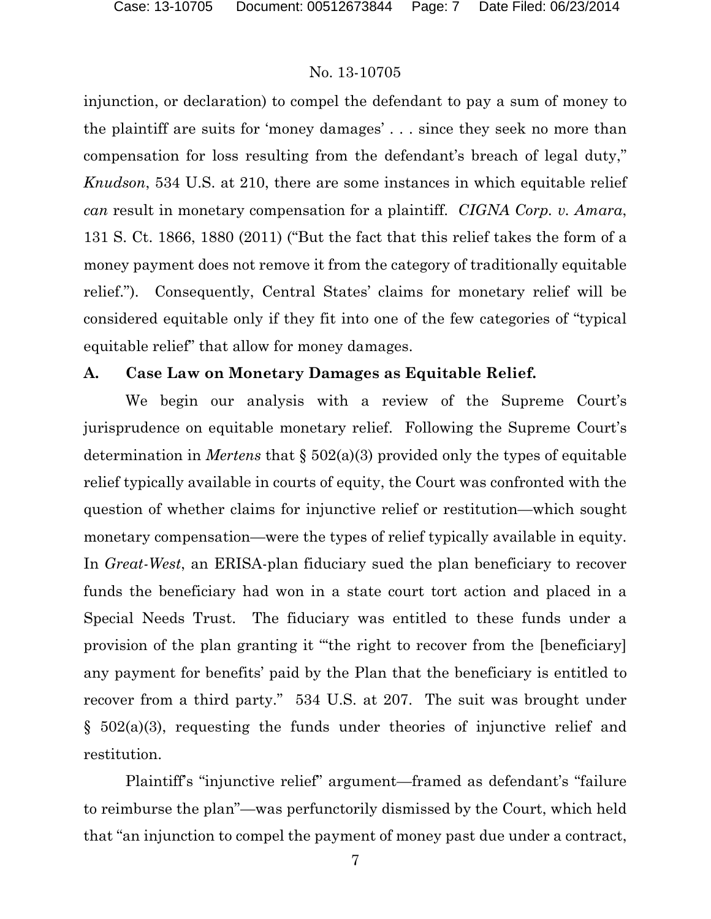injunction, or declaration) to compel the defendant to pay a sum of money to the plaintiff are suits for 'money damages' . . . since they seek no more than compensation for loss resulting from the defendant's breach of legal duty," *Knudson*, 534 U.S. at 210, there are some instances in which equitable relief *can* result in monetary compensation for a plaintiff. *CIGNA Corp. v. Amara*, 131 S. Ct. 1866, 1880 (2011) ("But the fact that this relief takes the form of a money payment does not remove it from the category of traditionally equitable relief."). Consequently, Central States' claims for monetary relief will be considered equitable only if they fit into one of the few categories of "typical equitable relief" that allow for money damages.

### **A. Case Law on Monetary Damages as Equitable Relief.**

We begin our analysis with a review of the Supreme Court's jurisprudence on equitable monetary relief. Following the Supreme Court's determination in *Mertens* that § 502(a)(3) provided only the types of equitable relief typically available in courts of equity, the Court was confronted with the question of whether claims for injunctive relief or restitution—which sought monetary compensation—were the types of relief typically available in equity. In *Great-West*, an ERISA-plan fiduciary sued the plan beneficiary to recover funds the beneficiary had won in a state court tort action and placed in a Special Needs Trust. The fiduciary was entitled to these funds under a provision of the plan granting it "'the right to recover from the [beneficiary] any payment for benefits' paid by the Plan that the beneficiary is entitled to recover from a third party." 534 U.S. at 207. The suit was brought under § 502(a)(3), requesting the funds under theories of injunctive relief and restitution.

Plaintiff's "injunctive relief" argument—framed as defendant's "failure to reimburse the plan"—was perfunctorily dismissed by the Court, which held that "an injunction to compel the payment of money past due under a contract,

7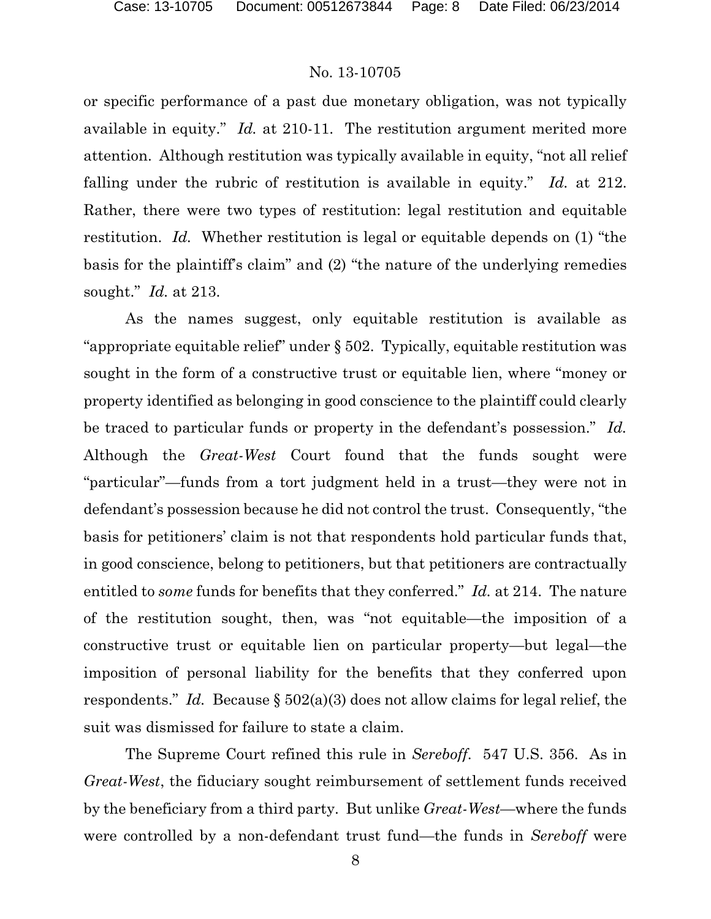or specific performance of a past due monetary obligation, was not typically available in equity." *Id.* at 210-11. The restitution argument merited more attention. Although restitution was typically available in equity, "not all relief falling under the rubric of restitution is available in equity." *Id.* at 212. Rather, there were two types of restitution: legal restitution and equitable restitution. *Id.* Whether restitution is legal or equitable depends on (1) "the basis for the plaintiff's claim" and (2) "the nature of the underlying remedies sought." *Id.* at 213.

As the names suggest, only equitable restitution is available as "appropriate equitable relief" under § 502. Typically, equitable restitution was sought in the form of a constructive trust or equitable lien, where "money or property identified as belonging in good conscience to the plaintiff could clearly be traced to particular funds or property in the defendant's possession." *Id.* Although the *Great-West* Court found that the funds sought were "particular"—funds from a tort judgment held in a trust—they were not in defendant's possession because he did not control the trust. Consequently, "the basis for petitioners' claim is not that respondents hold particular funds that, in good conscience, belong to petitioners, but that petitioners are contractually entitled to *some* funds for benefits that they conferred." *Id.* at 214. The nature of the restitution sought, then, was "not equitable—the imposition of a constructive trust or equitable lien on particular property—but legal—the imposition of personal liability for the benefits that they conferred upon respondents." *Id.* Because § 502(a)(3) does not allow claims for legal relief, the suit was dismissed for failure to state a claim.

The Supreme Court refined this rule in *Sereboff*. 547 U.S. 356. As in *Great-West*, the fiduciary sought reimbursement of settlement funds received by the beneficiary from a third party. But unlike *Great-West*—where the funds were controlled by a non-defendant trust fund—the funds in *Sereboff* were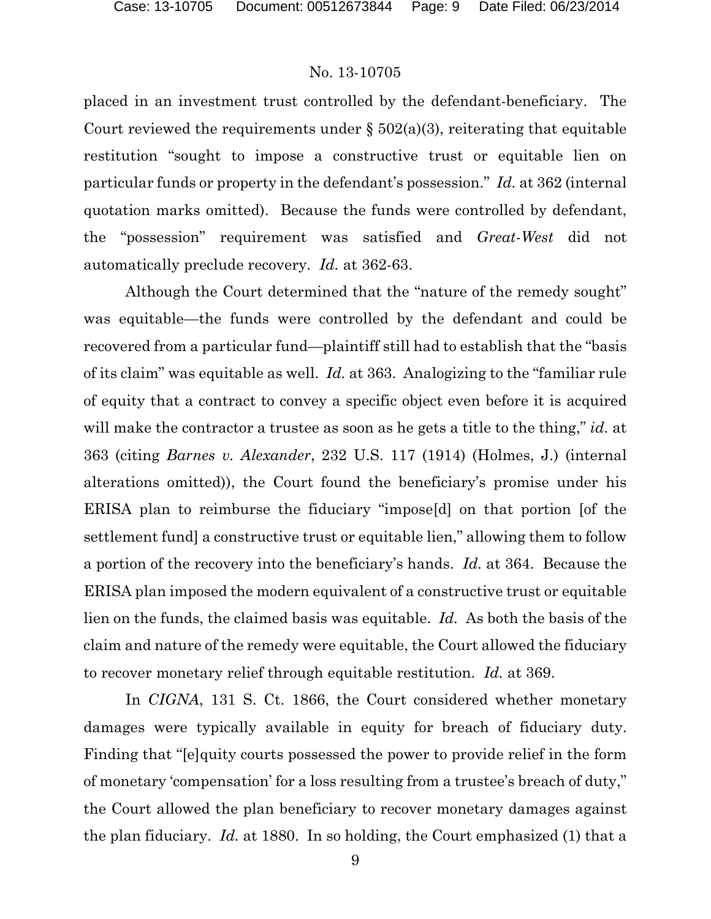placed in an investment trust controlled by the defendant-beneficiary. The Court reviewed the requirements under  $\S 502(a)(3)$ , reiterating that equitable restitution "sought to impose a constructive trust or equitable lien on particular funds or property in the defendant's possession." *Id.* at 362 (internal quotation marks omitted). Because the funds were controlled by defendant, the "possession" requirement was satisfied and *Great-West* did not automatically preclude recovery. *Id.* at 362-63.

Although the Court determined that the "nature of the remedy sought" was equitable—the funds were controlled by the defendant and could be recovered from a particular fund—plaintiff still had to establish that the "basis of its claim" was equitable as well. *Id.* at 363. Analogizing to the "familiar rule of equity that a contract to convey a specific object even before it is acquired will make the contractor a trustee as soon as he gets a title to the thing," *id.* at 363 (citing *Barnes v. Alexander*, 232 U.S. 117 (1914) (Holmes, J.) (internal alterations omitted)), the Court found the beneficiary's promise under his ERISA plan to reimburse the fiduciary "impose[d] on that portion [of the settlement fund] a constructive trust or equitable lien," allowing them to follow a portion of the recovery into the beneficiary's hands. *Id.* at 364. Because the ERISA plan imposed the modern equivalent of a constructive trust or equitable lien on the funds, the claimed basis was equitable. *Id.* As both the basis of the claim and nature of the remedy were equitable, the Court allowed the fiduciary to recover monetary relief through equitable restitution. *Id.* at 369.

In *CIGNA*, 131 S. Ct. 1866, the Court considered whether monetary damages were typically available in equity for breach of fiduciary duty. Finding that "[e]quity courts possessed the power to provide relief in the form of monetary 'compensation' for a loss resulting from a trustee's breach of duty," the Court allowed the plan beneficiary to recover monetary damages against the plan fiduciary. *Id.* at 1880. In so holding, the Court emphasized (1) that a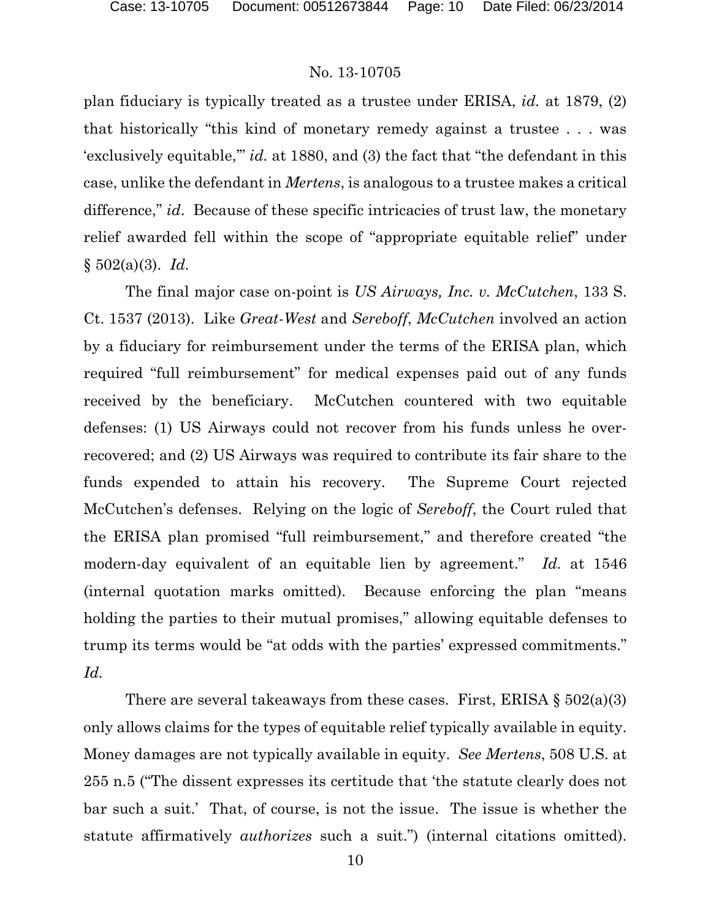plan fiduciary is typically treated as a trustee under ERISA, *id.* at 1879, (2) that historically "this kind of monetary remedy against a trustee . . . was 'exclusively equitable,'" *id.* at 1880, and (3) the fact that "the defendant in this case, unlike the defendant in *Mertens*, is analogous to a trustee makes a critical difference," *id*. Because of these specific intricacies of trust law, the monetary relief awarded fell within the scope of "appropriate equitable relief" under § 502(a)(3). *Id.*

The final major case on-point is *US Airways, Inc. v. McCutchen*, 133 S. Ct. 1537 (2013). Like *Great-West* and *Sereboff*, *McCutchen* involved an action by a fiduciary for reimbursement under the terms of the ERISA plan, which required "full reimbursement" for medical expenses paid out of any funds received by the beneficiary. McCutchen countered with two equitable defenses: (1) US Airways could not recover from his funds unless he overrecovered; and (2) US Airways was required to contribute its fair share to the funds expended to attain his recovery. The Supreme Court rejected McCutchen's defenses. Relying on the logic of *Sereboff*, the Court ruled that the ERISA plan promised "full reimbursement," and therefore created "the modern-day equivalent of an equitable lien by agreement." *Id.* at 1546 (internal quotation marks omitted). Because enforcing the plan "means holding the parties to their mutual promises," allowing equitable defenses to trump its terms would be "at odds with the parties' expressed commitments." *Id.* 

There are several takeaways from these cases. First, ERISA  $\S 502(a)(3)$ only allows claims for the types of equitable relief typically available in equity. Money damages are not typically available in equity. *See Mertens*, 508 U.S. at 255 n.5 ("The dissent expresses its certitude that 'the statute clearly does not bar such a suit.' That, of course, is not the issue. The issue is whether the statute affirmatively *authorizes* such a suit.") (internal citations omitted).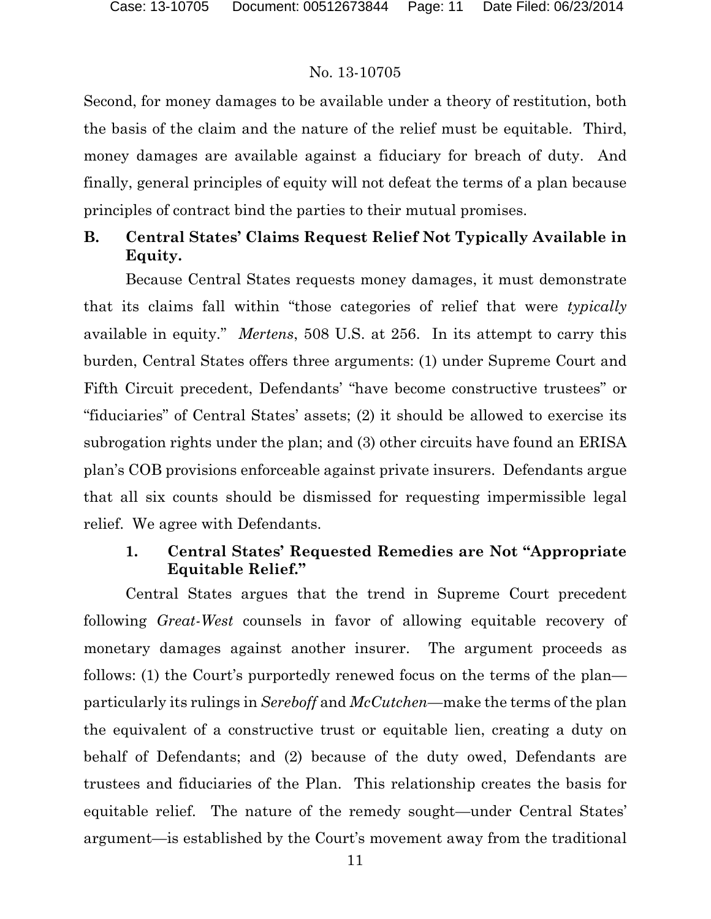Second, for money damages to be available under a theory of restitution, both the basis of the claim and the nature of the relief must be equitable. Third, money damages are available against a fiduciary for breach of duty. And finally, general principles of equity will not defeat the terms of a plan because principles of contract bind the parties to their mutual promises.

## **B. Central States' Claims Request Relief Not Typically Available in Equity.**

Because Central States requests money damages, it must demonstrate that its claims fall within "those categories of relief that were *typically*  available in equity." *Mertens*, 508 U.S. at 256. In its attempt to carry this burden, Central States offers three arguments: (1) under Supreme Court and Fifth Circuit precedent, Defendants' "have become constructive trustees" or "fiduciaries" of Central States' assets; (2) it should be allowed to exercise its subrogation rights under the plan; and (3) other circuits have found an ERISA plan's COB provisions enforceable against private insurers. Defendants argue that all six counts should be dismissed for requesting impermissible legal relief. We agree with Defendants.

## **1. Central States' Requested Remedies are Not "Appropriate Equitable Relief."**

Central States argues that the trend in Supreme Court precedent following *Great-West* counsels in favor of allowing equitable recovery of monetary damages against another insurer. The argument proceeds as follows: (1) the Court's purportedly renewed focus on the terms of the plan particularly its rulings in *Sereboff* and *McCutchen*—make the terms of the plan the equivalent of a constructive trust or equitable lien, creating a duty on behalf of Defendants; and (2) because of the duty owed, Defendants are trustees and fiduciaries of the Plan. This relationship creates the basis for equitable relief. The nature of the remedy sought—under Central States' argument—is established by the Court's movement away from the traditional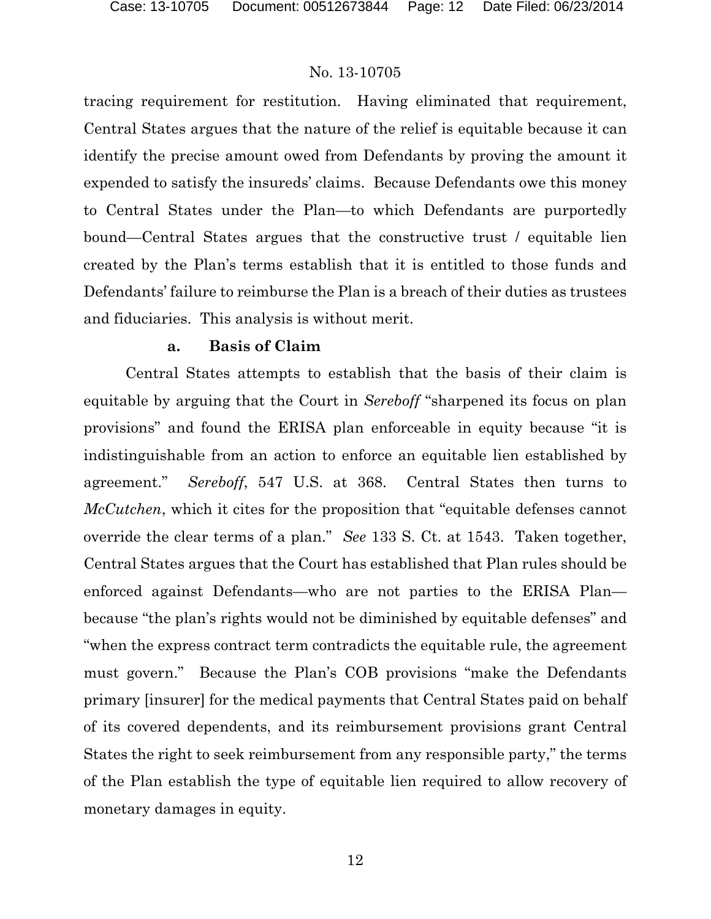tracing requirement for restitution. Having eliminated that requirement, Central States argues that the nature of the relief is equitable because it can identify the precise amount owed from Defendants by proving the amount it expended to satisfy the insureds' claims. Because Defendants owe this money to Central States under the Plan—to which Defendants are purportedly bound—Central States argues that the constructive trust / equitable lien created by the Plan's terms establish that it is entitled to those funds and Defendants' failure to reimburse the Plan is a breach of their duties as trustees and fiduciaries. This analysis is without merit.

### **a. Basis of Claim**

Central States attempts to establish that the basis of their claim is equitable by arguing that the Court in *Sereboff* "sharpened its focus on plan provisions" and found the ERISA plan enforceable in equity because "it is indistinguishable from an action to enforce an equitable lien established by agreement." *Sereboff*, 547 U.S. at 368. Central States then turns to *McCutchen*, which it cites for the proposition that "equitable defenses cannot override the clear terms of a plan." *See* 133 S. Ct. at 1543. Taken together, Central States argues that the Court has established that Plan rules should be enforced against Defendants—who are not parties to the ERISA Plan because "the plan's rights would not be diminished by equitable defenses" and "when the express contract term contradicts the equitable rule, the agreement must govern." Because the Plan's COB provisions "make the Defendants primary [insurer] for the medical payments that Central States paid on behalf of its covered dependents, and its reimbursement provisions grant Central States the right to seek reimbursement from any responsible party," the terms of the Plan establish the type of equitable lien required to allow recovery of monetary damages in equity.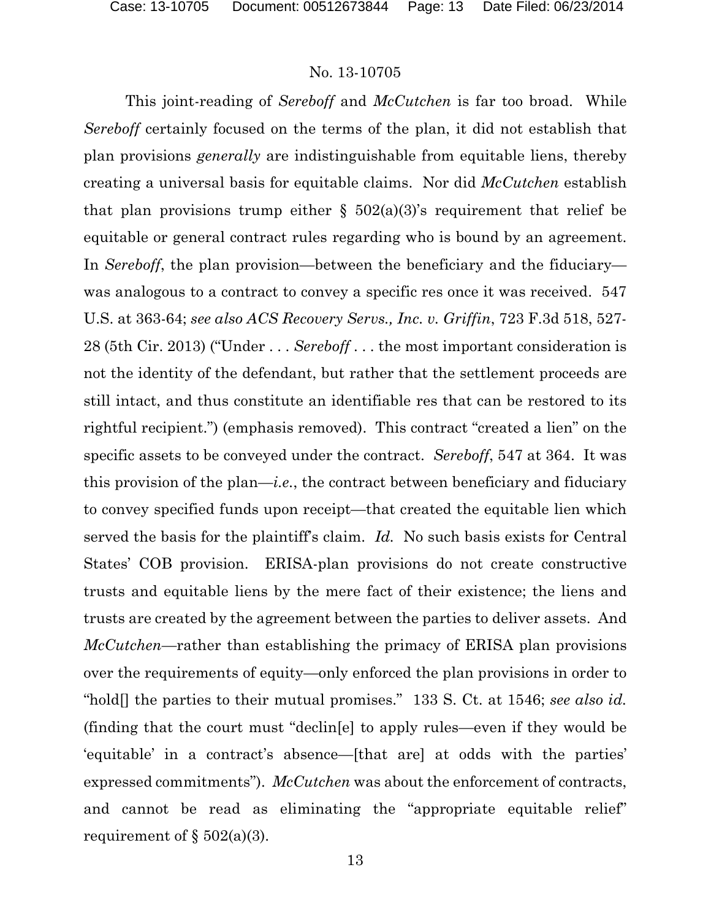This joint-reading of *Sereboff* and *McCutchen* is far too broad. While *Sereboff* certainly focused on the terms of the plan, it did not establish that plan provisions *generally* are indistinguishable from equitable liens, thereby creating a universal basis for equitable claims. Nor did *McCutchen* establish that plan provisions trump either  $\S$  502(a)(3)'s requirement that relief be equitable or general contract rules regarding who is bound by an agreement. In *Sereboff*, the plan provision—between the beneficiary and the fiduciary was analogous to a contract to convey a specific res once it was received. 547 U.S. at 363-64; *see also ACS Recovery Servs., Inc. v. Griffin*, 723 F.3d 518, 527- 28 (5th Cir. 2013) ("Under . . . *Sereboff* . . . the most important consideration is not the identity of the defendant, but rather that the settlement proceeds are still intact, and thus constitute an identifiable res that can be restored to its rightful recipient.") (emphasis removed). This contract "created a lien" on the specific assets to be conveyed under the contract. *Sereboff*, 547 at 364. It was this provision of the plan—*i.e.*, the contract between beneficiary and fiduciary to convey specified funds upon receipt—that created the equitable lien which served the basis for the plaintiff's claim. *Id.* No such basis exists for Central States' COB provision. ERISA-plan provisions do not create constructive trusts and equitable liens by the mere fact of their existence; the liens and trusts are created by the agreement between the parties to deliver assets. And *McCutchen*—rather than establishing the primacy of ERISA plan provisions over the requirements of equity—only enforced the plan provisions in order to "hold[] the parties to their mutual promises." 133 S. Ct. at 1546; *see also id.* (finding that the court must "declin[e] to apply rules—even if they would be 'equitable' in a contract's absence—[that are] at odds with the parties' expressed commitments"). *McCutchen* was about the enforcement of contracts, and cannot be read as eliminating the "appropriate equitable relief" requirement of  $\S 502(a)(3)$ .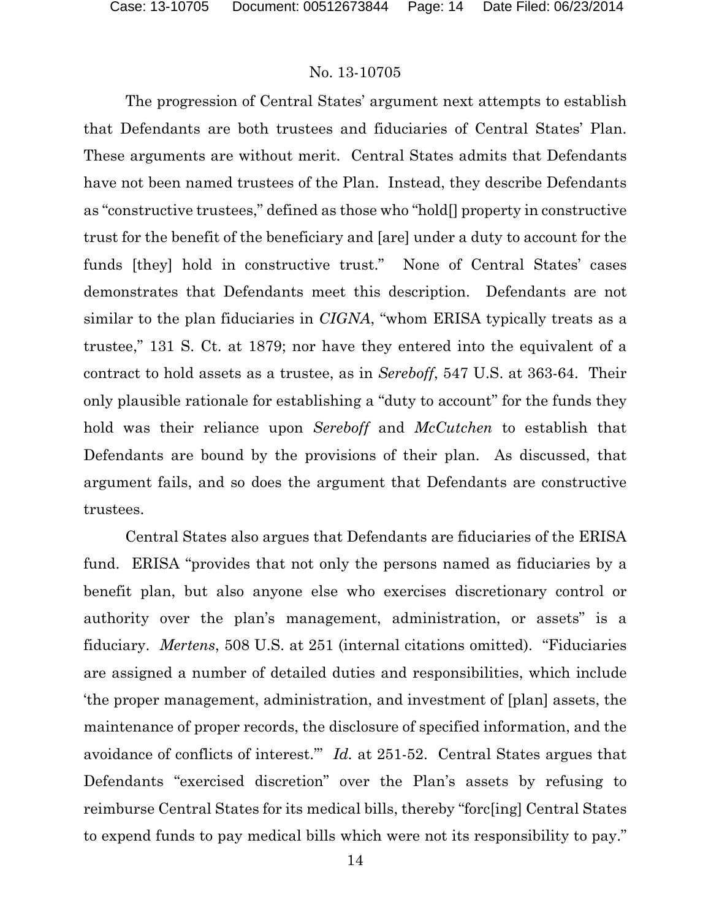The progression of Central States' argument next attempts to establish that Defendants are both trustees and fiduciaries of Central States' Plan. These arguments are without merit. Central States admits that Defendants have not been named trustees of the Plan. Instead, they describe Defendants as "constructive trustees," defined as those who "hold[] property in constructive trust for the benefit of the beneficiary and [are] under a duty to account for the funds [they] hold in constructive trust." None of Central States' cases demonstrates that Defendants meet this description. Defendants are not similar to the plan fiduciaries in *CIGNA*, "whom ERISA typically treats as a trustee," 131 S. Ct. at 1879; nor have they entered into the equivalent of a contract to hold assets as a trustee, as in *Sereboff*, 547 U.S. at 363-64. Their only plausible rationale for establishing a "duty to account" for the funds they hold was their reliance upon *Sereboff* and *McCutchen* to establish that Defendants are bound by the provisions of their plan. As discussed, that argument fails, and so does the argument that Defendants are constructive trustees.

Central States also argues that Defendants are fiduciaries of the ERISA fund. ERISA "provides that not only the persons named as fiduciaries by a benefit plan, but also anyone else who exercises discretionary control or authority over the plan's management, administration, or assets" is a fiduciary. *Mertens*, 508 U.S. at 251 (internal citations omitted). "Fiduciaries are assigned a number of detailed duties and responsibilities, which include 'the proper management, administration, and investment of [plan] assets, the maintenance of proper records, the disclosure of specified information, and the avoidance of conflicts of interest.'" *Id.* at 251-52. Central States argues that Defendants "exercised discretion" over the Plan's assets by refusing to reimburse Central States for its medical bills, thereby "forc[ing] Central States to expend funds to pay medical bills which were not its responsibility to pay."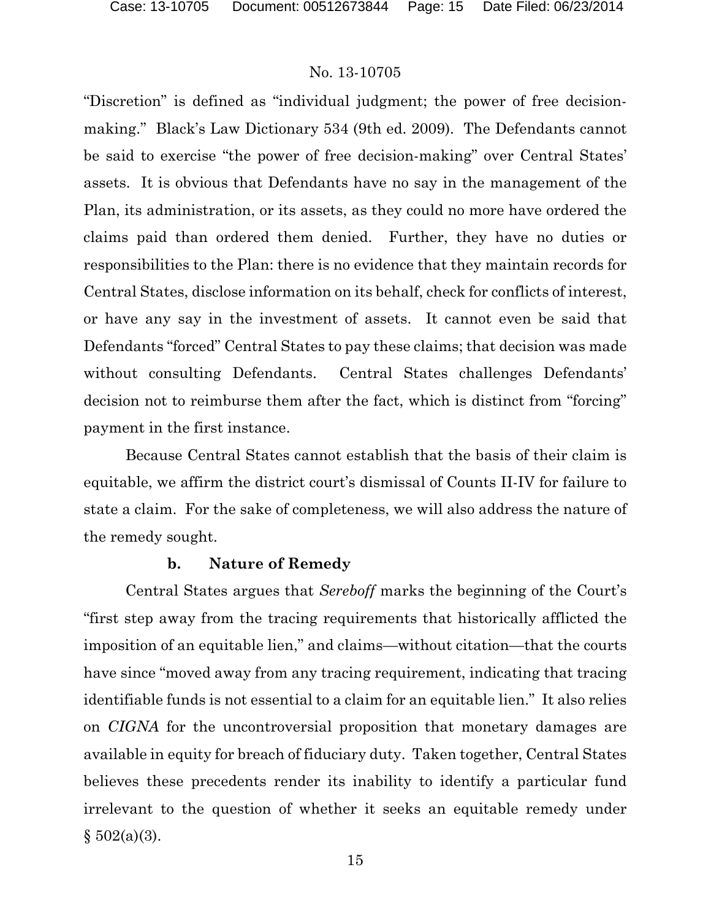"Discretion" is defined as "individual judgment; the power of free decisionmaking." Black's Law Dictionary 534 (9th ed. 2009). The Defendants cannot be said to exercise "the power of free decision-making" over Central States' assets. It is obvious that Defendants have no say in the management of the Plan, its administration, or its assets, as they could no more have ordered the claims paid than ordered them denied. Further, they have no duties or responsibilities to the Plan: there is no evidence that they maintain records for Central States, disclose information on its behalf, check for conflicts of interest, or have any say in the investment of assets. It cannot even be said that Defendants "forced" Central States to pay these claims; that decision was made without consulting Defendants. Central States challenges Defendants' decision not to reimburse them after the fact, which is distinct from "forcing" payment in the first instance.

Because Central States cannot establish that the basis of their claim is equitable, we affirm the district court's dismissal of Counts II-IV for failure to state a claim. For the sake of completeness, we will also address the nature of the remedy sought.

### **b. Nature of Remedy**

Central States argues that *Sereboff* marks the beginning of the Court's "first step away from the tracing requirements that historically afflicted the imposition of an equitable lien," and claims—without citation—that the courts have since "moved away from any tracing requirement, indicating that tracing identifiable funds is not essential to a claim for an equitable lien." It also relies on *CIGNA* for the uncontroversial proposition that monetary damages are available in equity for breach of fiduciary duty. Taken together, Central States believes these precedents render its inability to identify a particular fund irrelevant to the question of whether it seeks an equitable remedy under  $§ 502(a)(3).$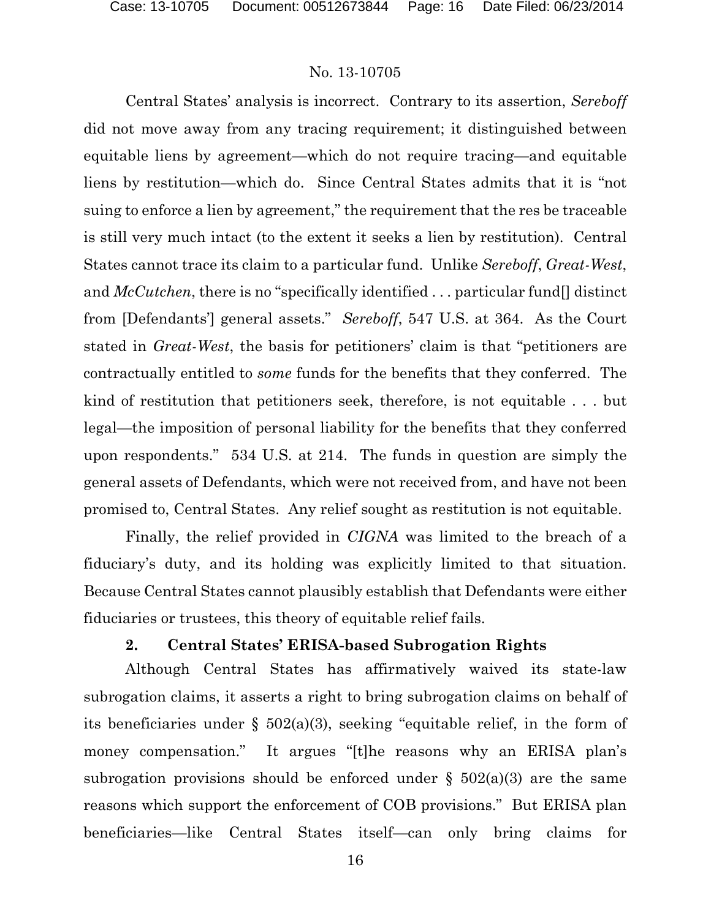Central States' analysis is incorrect. Contrary to its assertion, *Sereboff* did not move away from any tracing requirement; it distinguished between equitable liens by agreement—which do not require tracing—and equitable liens by restitution—which do. Since Central States admits that it is "not suing to enforce a lien by agreement," the requirement that the res be traceable is still very much intact (to the extent it seeks a lien by restitution). Central States cannot trace its claim to a particular fund. Unlike *Sereboff*, *Great-West*, and *McCutchen*, there is no "specifically identified . . . particular fund[] distinct from [Defendants'] general assets." *Sereboff*, 547 U.S. at 364. As the Court stated in *Great-West*, the basis for petitioners' claim is that "petitioners are contractually entitled to *some* funds for the benefits that they conferred. The kind of restitution that petitioners seek, therefore, is not equitable . . . but legal—the imposition of personal liability for the benefits that they conferred upon respondents." 534 U.S. at 214. The funds in question are simply the general assets of Defendants, which were not received from, and have not been promised to, Central States. Any relief sought as restitution is not equitable.

Finally, the relief provided in *CIGNA* was limited to the breach of a fiduciary's duty, and its holding was explicitly limited to that situation. Because Central States cannot plausibly establish that Defendants were either fiduciaries or trustees, this theory of equitable relief fails.

## **2. Central States' ERISA-based Subrogation Rights**

Although Central States has affirmatively waived its state-law subrogation claims, it asserts a right to bring subrogation claims on behalf of its beneficiaries under § 502(a)(3), seeking "equitable relief, in the form of money compensation." It argues "[t]he reasons why an ERISA plan's subrogation provisions should be enforced under  $\S$  502(a)(3) are the same reasons which support the enforcement of COB provisions." But ERISA plan beneficiaries—like Central States itself—can only bring claims for

16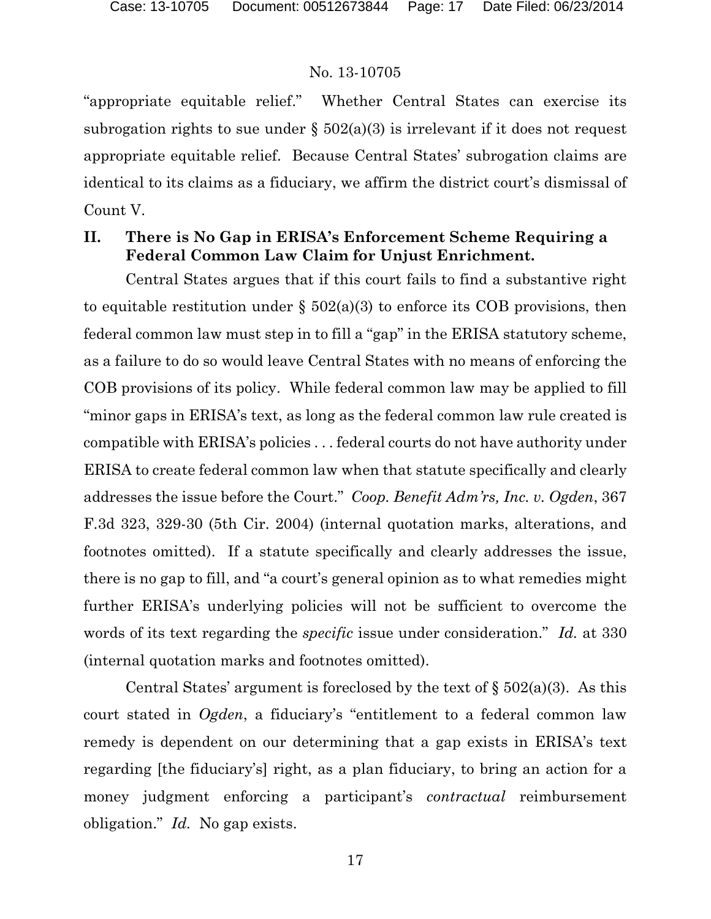"appropriate equitable relief." Whether Central States can exercise its subrogation rights to sue under  $\S$  502(a)(3) is irrelevant if it does not request appropriate equitable relief. Because Central States' subrogation claims are identical to its claims as a fiduciary, we affirm the district court's dismissal of Count V.

## **II. There is No Gap in ERISA's Enforcement Scheme Requiring a Federal Common Law Claim for Unjust Enrichment.**

Central States argues that if this court fails to find a substantive right to equitable restitution under  $\S$  502(a)(3) to enforce its COB provisions, then federal common law must step in to fill a "gap" in the ERISA statutory scheme, as a failure to do so would leave Central States with no means of enforcing the COB provisions of its policy. While federal common law may be applied to fill "minor gaps in ERISA's text, as long as the federal common law rule created is compatible with ERISA's policies . . . federal courts do not have authority under ERISA to create federal common law when that statute specifically and clearly addresses the issue before the Court." *Coop. Benefit Adm'rs, Inc. v. Ogden*, 367 F.3d 323, 329-30 (5th Cir. 2004) (internal quotation marks, alterations, and footnotes omitted). If a statute specifically and clearly addresses the issue, there is no gap to fill, and "a court's general opinion as to what remedies might further ERISA's underlying policies will not be sufficient to overcome the words of its text regarding the *specific* issue under consideration." *Id.* at 330 (internal quotation marks and footnotes omitted).

Central States' argument is foreclosed by the text of  $\S 502(a)(3)$ . As this court stated in *Ogden*, a fiduciary's "entitlement to a federal common law remedy is dependent on our determining that a gap exists in ERISA's text regarding [the fiduciary's] right, as a plan fiduciary, to bring an action for a money judgment enforcing a participant's *contractual* reimbursement obligation." *Id.* No gap exists.

17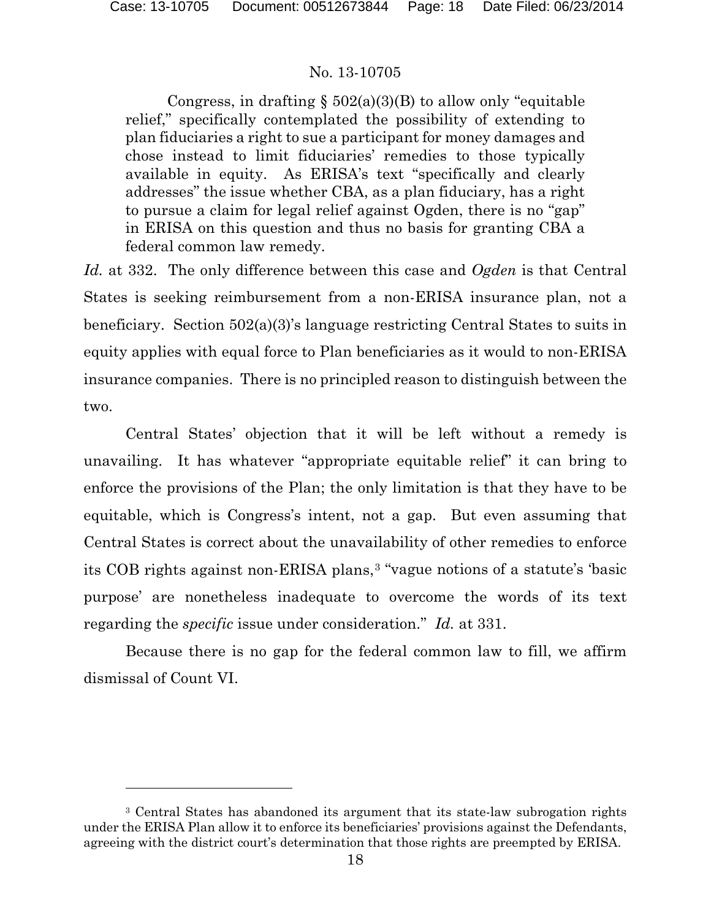$\overline{a}$ 

## No. 13-10705

Congress, in drafting  $\S$  502(a)(3)(B) to allow only "equitable relief," specifically contemplated the possibility of extending to plan fiduciaries a right to sue a participant for money damages and chose instead to limit fiduciaries' remedies to those typically available in equity. As ERISA's text "specifically and clearly addresses" the issue whether CBA, as a plan fiduciary, has a right to pursue a claim for legal relief against Ogden, there is no "gap" in ERISA on this question and thus no basis for granting CBA a federal common law remedy.

*Id.* at 332. The only difference between this case and *Ogden* is that Central States is seeking reimbursement from a non-ERISA insurance plan, not a beneficiary. Section 502(a)(3)'s language restricting Central States to suits in equity applies with equal force to Plan beneficiaries as it would to non-ERISA insurance companies. There is no principled reason to distinguish between the two.

Central States' objection that it will be left without a remedy is unavailing. It has whatever "appropriate equitable relief" it can bring to enforce the provisions of the Plan; the only limitation is that they have to be equitable, which is Congress's intent, not a gap. But even assuming that Central States is correct about the unavailability of other remedies to enforce its COB rights against non-ERISA plans,[3](#page-17-0) "vague notions of a statute's 'basic purpose' are nonetheless inadequate to overcome the words of its text regarding the *specific* issue under consideration." *Id.* at 331.

Because there is no gap for the federal common law to fill, we affirm dismissal of Count VI.

<span id="page-17-0"></span><sup>3</sup> Central States has abandoned its argument that its state-law subrogation rights under the ERISA Plan allow it to enforce its beneficiaries' provisions against the Defendants, agreeing with the district court's determination that those rights are preempted by ERISA.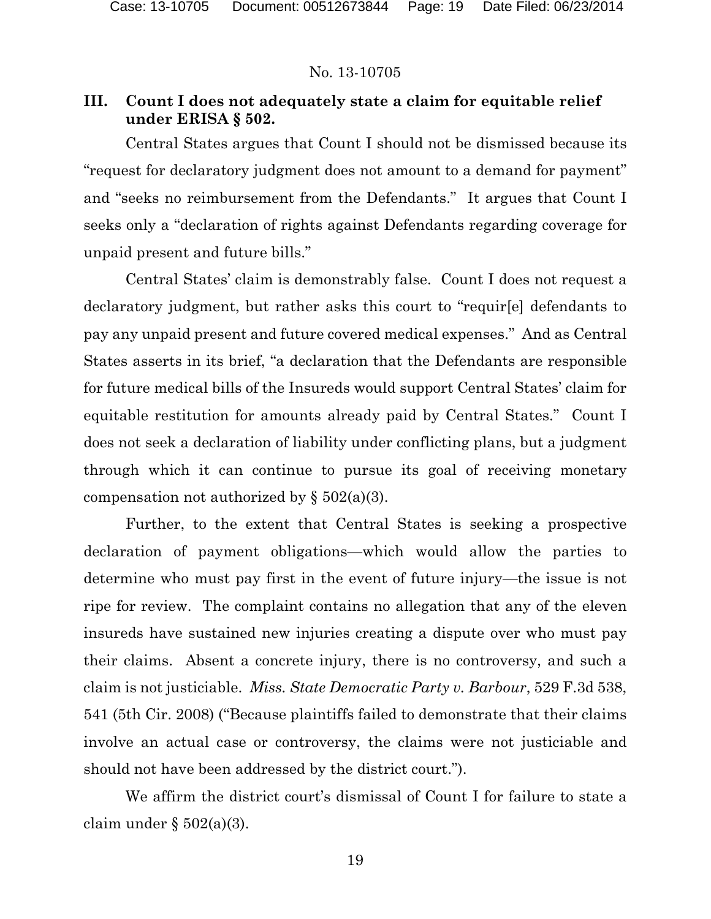## **III. Count I does not adequately state a claim for equitable relief under ERISA § 502.**

Central States argues that Count I should not be dismissed because its "request for declaratory judgment does not amount to a demand for payment" and "seeks no reimbursement from the Defendants." It argues that Count I seeks only a "declaration of rights against Defendants regarding coverage for unpaid present and future bills."

Central States' claim is demonstrably false. Count I does not request a declaratory judgment, but rather asks this court to "requir[e] defendants to pay any unpaid present and future covered medical expenses." And as Central States asserts in its brief, "a declaration that the Defendants are responsible for future medical bills of the Insureds would support Central States' claim for equitable restitution for amounts already paid by Central States." Count I does not seek a declaration of liability under conflicting plans, but a judgment through which it can continue to pursue its goal of receiving monetary compensation not authorized by  $\S$  502(a)(3).

Further, to the extent that Central States is seeking a prospective declaration of payment obligations—which would allow the parties to determine who must pay first in the event of future injury—the issue is not ripe for review. The complaint contains no allegation that any of the eleven insureds have sustained new injuries creating a dispute over who must pay their claims. Absent a concrete injury, there is no controversy, and such a claim is not justiciable. *Miss. State Democratic Party v. Barbour*, 529 F.3d 538, 541 (5th Cir. 2008) ("Because plaintiffs failed to demonstrate that their claims involve an actual case or controversy, the claims were not justiciable and should not have been addressed by the district court.").

We affirm the district court's dismissal of Count I for failure to state a claim under  $\S 502(a)(3)$ .